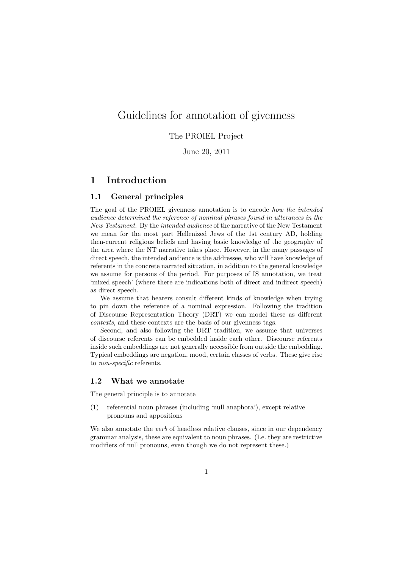# Guidelines for annotation of givenness

## The PROIEL Project

June 20, 2011

## 1 Introduction

### 1.1 General principles

The goal of the PROIEL givenness annotation is to encode how the intended audience determined the reference of nominal phrases found in utterances in the New Testament. By the intended audience of the narrative of the New Testament we mean for the most part Hellenized Jews of the 1st century AD, holding then-current religious beliefs and having basic knowledge of the geography of the area where the NT narrative takes place. However, in the many passages of direct speech, the intended audience is the addressee, who will have knowledge of referents in the concrete narrated situation, in addition to the general knowledge we assume for persons of the period. For purposes of IS annotation, we treat 'mixed speech' (where there are indications both of direct and indirect speech) as direct speech.

We assume that hearers consult different kinds of knowledge when trying to pin down the reference of a nominal expression. Following the tradition of Discourse Representation Theory (DRT) we can model these as different contexts, and these contexts are the basis of our givenness tags.

Second, and also following the DRT tradition, we assume that universes of discourse referents can be embedded inside each other. Discourse referents inside such embeddings are not generally accessible from outside the embedding. Typical embeddings are negation, mood, certain classes of verbs. These give rise to non-specific referents.

## 1.2 What we annotate

The general principle is to annotate

(1) referential noun phrases (including 'null anaphora'), except relative pronouns and appositions

We also annotate the *verb* of headless relative clauses, since in our dependency grammar analysis, these are equivalent to noun phrases. (I.e. they are restrictive modifiers of null pronouns, even though we do not represent these.)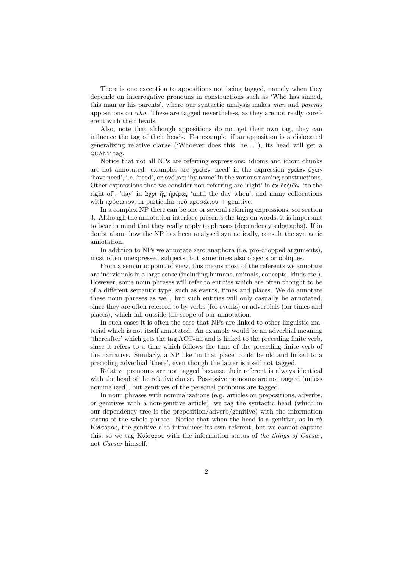There is one exception to appositions not being tagged, namely when they depende on interrogative pronouns in constructions such as 'Who has sinned, this man or his parents', where our syntactic analysis makes man and parents appositions on who. These are tagged nevertheless, as they are not really coreferent with their heads.

Also, note that although appositions do not get their own tag, they can influence the tag of their heads. For example, if an apposition is a dislocated generalizing relative clause ('Whoever does this, he. . . '), its head will get a quant tag.

Notice that not all NPs are referring expressions: idioms and idiom chunks are not annotated: examples are χρείαν 'need' in the expression χρείαν ἔχειν 'have need', i.e. 'need', or ὀνόματι 'by name' in the various naming constructions. Other expressions that we consider non-referring are 'right' in ἐκ δεξιῶν 'to the right of', 'day' in ἄχρι ἧς ἡμέρας 'until the day when', and many collocations with πρόσωπον, in particular πρὸ προσώπου + genitive.

In a complex NP there can be one or several referring expressions, see section 3. Although the annotation interface presents the tags on words, it is important to bear in mind that they really apply to phrases (dependency subgraphs). If in doubt about how the NP has been analysed syntactically, consult the syntactic annotation.

In addition to NPs we annotate zero anaphora (i.e. pro-dropped arguments), most often unexpressed subjects, but sometimes also objects or obliques.

From a semantic point of view, this means most of the referents we annotate are individuals in a large sense (including humans, animals, concepts, kinds etc.). However, some noun phrases will refer to entities which are often thought to be of a different semantic type, such as events, times and places. We do annotate these noun phrases as well, but such entities will only casually be annotated, since they are often referred to by verbs (for events) or adverbials (for times and places), which fall outside the scope of our annotation.

In such cases it is often the case that NPs are linked to other linguistic material which is not itself annotated. An example would be an adverbial meaning 'thereafter' which gets the tag ACC-inf and is linked to the preceding finite verb, since it refers to a time which follows the time of the preceding finite verb of the narrative. Similarly, a NP like 'in that place' could be old and linked to a preceding adverbial 'there', even though the latter is itself not tagged.

Relative pronouns are not tagged because their referent is always identical with the head of the relative clause. Possessive pronouns are not tagged (unless nominalized), but genitives of the personal pronouns are tagged.

In noun phrases with nominalizations (e.g. articles on prepositions, adverbs, or genitives with a non-genitive article), we tag the syntactic head (which in our dependency tree is the preposition/adverb/genitive) with the information status of the whole phrase. Notice that when the head is a genitive, as in τὰ Καίσαρος, the genitive also introduces its own referent, but we cannot capture this, so we tag Καίσαρος with the information status of the things of Caesar, not Caesar himself.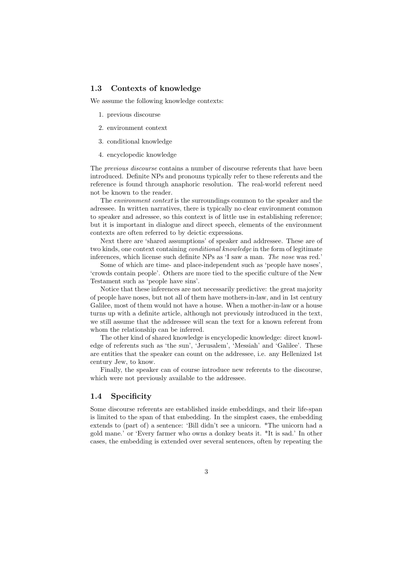### 1.3 Contexts of knowledge

We assume the following knowledge contexts:

- 1. previous discourse
- 2. environment context
- 3. conditional knowledge
- 4. encyclopedic knowledge

The *previous discourse* contains a number of discourse referents that have been introduced. Definite NPs and pronouns typically refer to these referents and the reference is found through anaphoric resolution. The real-world referent need not be known to the reader.

The *environment context* is the surroundings common to the speaker and the adressee. In written narratives, there is typically no clear environment common to speaker and adressee, so this context is of little use in establishing reference; but it is important in dialogue and direct speech, elements of the environment contexts are often referred to by deictic expressions.

Next there are 'shared assumptions' of speaker and addressee. These are of two kinds, one context containing *conditional knowledge* in the form of legitimate inferences, which license such definite NPs as 'I saw a man. The nose was red.'

Some of which are time- and place-independent such as 'people have noses', 'crowds contain people'. Others are more tied to the specific culture of the New Testament such as 'people have sins'.

Notice that these inferences are not necessarily predictive: the great majority of people have noses, but not all of them have mothers-in-law, and in 1st century Galilee, most of them would not have a house. When a mother-in-law or a house turns up with a definite article, although not previously introduced in the text, we still assume that the addressee will scan the text for a known referent from whom the relationship can be inferred.

The other kind of shared knowledge is encyclopedic knowledge: direct knowledge of referents such as 'the sun', 'Jerusalem', 'Messiah' and 'Galilee'. These are entities that the speaker can count on the addressee, i.e. any Hellenized 1st century Jew, to know.

Finally, the speaker can of course introduce new referents to the discourse, which were not previously available to the addressee.

## 1.4 Specificity

Some discourse referents are established inside embeddings, and their life-span is limited to the span of that embedding. In the simplest cases, the embedding extends to (part of) a sentence: 'Bill didn't see a unicorn. \*The unicorn had a gold mane.' or 'Every farmer who owns a donkey beats it. \*It is sad.' In other cases, the embedding is extended over several sentences, often by repeating the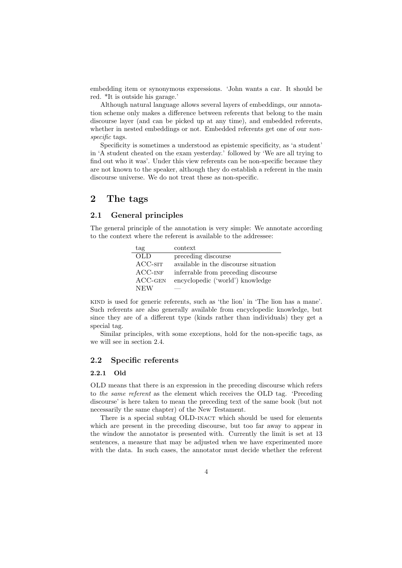embedding item or synonymous expressions. 'John wants a car. It should be red. \*It is outside his garage.'

Although natural language allows several layers of embeddings, our annotation scheme only makes a difference between referents that belong to the main discourse layer (and can be picked up at any time), and embedded referents, whether in nested embeddings or not. Embedded referents get one of our *non*specific tags.

Specificity is sometimes a understood as epistemic specificity, as 'a student' in 'A student cheated on the exam yesterday.' followed by 'We are all trying to find out who it was'. Under this view referents can be non-specific because they are not known to the speaker, although they do establish a referent in the main discourse universe. We do not treat these as non-specific.

## 2 The tags

## 2.1 General principles

The general principle of the annotation is very simple: We annotate according to the context where the referent is available to the addressee:

| tag        | context                              |
|------------|--------------------------------------|
| OLD.       | preceding discourse                  |
| $ACC-STT$  | available in the discourse situation |
| $ACC-INF$  | inferrable from preceding discourse  |
| $ACC-GEN$  | encyclopedic ('world') knowledge     |
| <b>NEW</b> |                                      |

kind is used for generic referents, such as 'the lion' in 'The lion has a mane'. Such referents are also generally available from encyclopedic knowledge, but since they are of a different type (kinds rather than individuals) they get a special tag.

Similar principles, with some exceptions, hold for the non-specific tags, as we will see in section 2.4.

## 2.2 Specific referents

## 2.2.1 Old

OLD means that there is an expression in the preceding discourse which refers to the same referent as the element which receives the OLD tag. 'Preceding discourse' is here taken to mean the preceding text of the same book (but not necessarily the same chapter) of the New Testament.

There is a special subtag OLD-INACT which should be used for elements which are present in the preceding discourse, but too far away to appear in the window the annotator is presented with. Currently the limit is set at 13 sentences, a measure that may be adjusted when we have experimented more with the data. In such cases, the annotator must decide whether the referent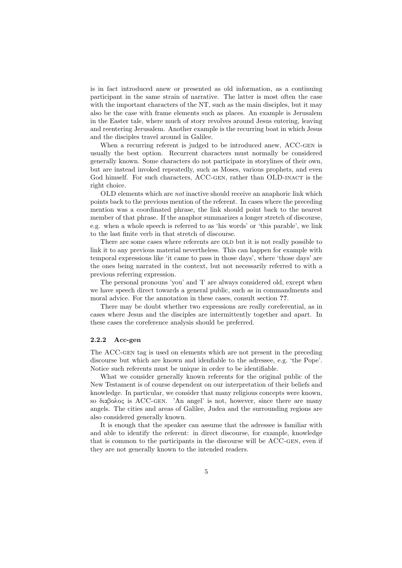is in fact introduced anew or presented as old information, as a continuing participant in the same strain of narrative. The latter is most often the case with the important characters of the NT, such as the main disciples, but it may also be the case with frame elements such as places. An example is Jerusalem in the Easter tale, where much of story revolves around Jesus entering, leaving and reentering Jerusalem. Another example is the recurring boat in which Jesus and the disciples travel around in Galilee.

When a recurring referent is judged to be introduced anew, ACC-GEN is usually the best option. Recurrent characters must normally be considered generally known. Some characters do not participate in storylines of their own, but are instead invoked repeatedly, such as Moses, various prophets, and even God himself. For such characters, ACC-GEN, rather than OLD-INACT is the right choice.

OLD elements which are not inactive should receive an anaphoric link which points back to the previous mention of the referent. In cases where the preceding mention was a coordinated phrase, the link should point back to the nearest member of that phrase. If the anaphor summarizes a longer stretch of discourse, e.g. when a whole speech is referred to as 'his words' or 'this parable', we link to the last finite verb in that stretch of discourse.

There are some cases where referents are OLD but it is not really possible to link it to any previous material nevertheless. This can happen for example with temporal expressions like 'it came to pass in those days', where 'those days' are the ones being narrated in the context, but not necessarily referred to with a previous referring expression.

The personal pronouns 'you' and 'I' are always considered old, except when we have speech direct towards a general public, such as in commandments and moral advice. For the annotation in these cases, consult section ??.

There may be doubt whether two expressions are really coreferential, as in cases where Jesus and the disciples are intermittently together and apart. In these cases the coreference analysis should be preferred.

#### 2.2.2 Acc-gen

The ACC-gen tag is used on elements which are not present in the preceding discourse but which are known and idenfiable to the adressee, e.g. 'the Pope'. Notice such referents must be unique in order to be identifiable.

What we consider generally known referents for the original public of the New Testament is of course dependent on our interpretation of their beliefs and knowledge. In particular, we consider that many religious concepts were known, so διαβολος is ACC-gen. 'An angel' is not, however, since there are many angels. The cities and areas of Galilee, Judea and the surrounding regions are also considered generally known.

It is enough that the speaker can assume that the adressee is familiar with and able to identify the referent: in direct discourse, for example, knowledge that is common to the participants in the discourse will be ACC-gen, even if they are not generally known to the intended readers.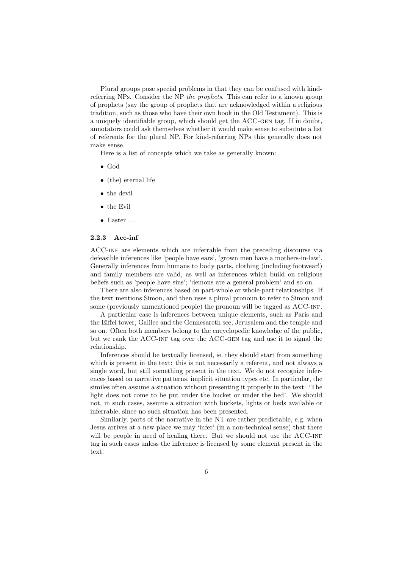Plural groups pose special problems in that they can be confused with kindreferring NPs. Consider the NP the prophets. This can refer to a known group of prophets (say the group of prophets that are acknowledged within a religious tradition, such as those who have their own book in the Old Testament). This is a uniquely identifiable group, which should get the ACC-gen tag. If in doubt, annotators could ask themselves whether it would make sense to subsitute a list of referents for the plural NP. For kind-referring NPs this generally does not make sense.

Here is a list of concepts which we take as generally known:

- God
- (the) eternal life
- the devil
- the Evil
- $\bullet$  Easter  $\ldots$

#### 2.2.3 Acc-inf

ACC-inf are elements which are inferrable from the preceding discourse via defeasible inferences like 'people have ears', 'grown men have a mothers-in-law'. Generally inferences from humans to body parts, clothing (including footwear!) and family members are valid, as well as inferences which build on religious beliefs such as 'people have sins'; 'demons are a general problem' and so on.

There are also inferences based on part-whole or whole-part relationships. If the text mentions Simon, and then uses a plural pronoun to refer to Simon and some (previously unmentioned people) the pronoun will be tagged as ACC-INF.

A particular case is inferences between unique elements, such as Paris and the Eiffel tower, Galilee and the Gennesareth see, Jerusalem and the temple and so on. Often both members belong to the encyclopedic knowledge of the public, but we rank the ACC-inf tag over the ACC-gen tag and use it to signal the relationship.

Inferences should be textually licensed, ie. they should start from something which is present in the text: this is not necessarily a referent, and not always a single word, but still something present in the text. We do not recognize inferences based on narrative patterns, implicit situation types etc. In particular, the similes often assume a situation without presenting it properly in the text: 'The light does not come to be put under the bucket or under the bed'. We should not, in such cases, assume a situation with buckets, lights or beds available or inferrable, since no such situation has been presented.

Similarly, parts of the narrative in the NT are rather predictable, e.g. when Jesus arrives at a new place we may 'infer' (in a non-technical sense) that there will be people in need of healing there. But we should not use the ACC-INF tag in such cases unless the inference is licensed by some element present in the text.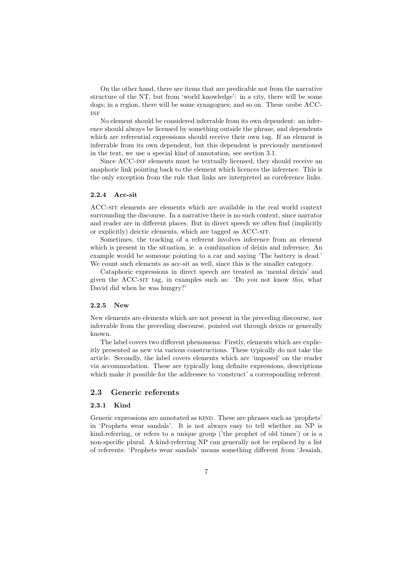On the other hand, there are items that are predicable not from the narrative structure of the NT, but from 'world knowledge': in a city, there will be some dogs; in a region, there will be some synagogues; and so on. These *can*be ACC-**INF** 

No element should be considered inferrable from its own dependent: an inference should always be licensed by something outside the phrase, and dependents which are referential expressions should receive their own tag. If an element is inferrable from its own dependent, but this dependent is previously mentioned in the text, we use a special kind of annotation, see section 3.1.

Since ACC-inf elements must be textually licensed, they should receive an anaphoric link pointing back to the element which licences the inference. This is the only exception from the rule that links are interpreted as coreference links.

#### 2.2.4 Acc-sit

ACC-sit elements are elements which are available in the real world context surrounding the discourse. In a narrative there is no such context, since narrator and reader are in different places. But in direct speech we often find (implicitly or explicitly) deictic elements, which are tagged as ACC-SIT.

Sometimes, the tracking of a referent involves inference from an element which is present in the situation, ie. a combination of deixis and inference. An example would be someone pointing to a car and saying 'The battery is dead.' We count such elements as acc-sit as well, since this is the smaller category.

Cataphoric expressions in direct speech are treated as 'mental deixis' and given the ACC-sit tag, in examples such as: 'Do you not know this, what David did when he was hungry?'

## 2.2.5 New

New elements are elements which are not present in the preceding discourse, nor inferrable from the preceding discourse, pointed out through deixis or generally known.

The label covers two different phenomena: Firstly, elements which are explicitly presented as new via various constructions. These typically do not take the article. Secondly, the label covers elements which are 'imposed' on the reader via accommodation. These are typically long definite expressions, descriptions which make it possible for the addressee to 'construct' a corresponding referent.

### 2.3 Generic referents

### 2.3.1 Kind

Generic expressions are annotated as KIND. These are phrases such as 'prophets' in 'Prophets wear sandals'. It is not always easy to tell whether an NP is kind-referring, or refers to a unique group ('the prophet of old times') or is a non-specific plural. A kind-referring NP can generally not be replaced by a list of referents: 'Prophets wear sandals' means something different from 'Jesaiah,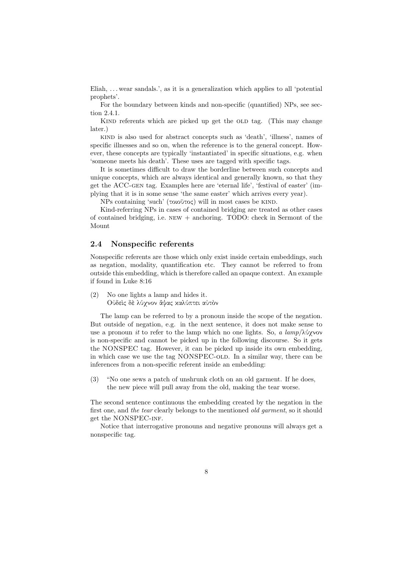Eliah, ... wear sandals.', as it is a generalization which applies to all 'potential prophets'.

For the boundary between kinds and non-specific (quantified) NPs, see section 2.4.1.

KIND referents which are picked up get the OLD tag. (This may change later.)

kind is also used for abstract concepts such as 'death', 'illness', names of specific illnesses and so on, when the reference is to the general concept. However, these concepts are typically 'instantiated' in specific situations, e.g. when 'someone meets his death'. These uses are tagged with specific tags.

It is sometimes difficult to draw the borderline between such concepts and unique concepts, which are always identical and generally known, so that they get the ACC-gen tag. Examples here are 'eternal life', 'festival of easter' (implying that it is in some sense 'the same easter' which arrives every year).

NPs containing 'such' (τοιοῦτος) will in most cases be kind.

Kind-referring NPs in cases of contained bridging are treated as other cases of contained bridging, i.e. new + anchoring. TODO: check in Sermont of the Mount

## 2.4 Nonspecific referents

Nonspecific referents are those which only exist inside certain embeddings, such as negation, modality, quantification etc. They cannot be referred to from outside this embedding, which is therefore called an opaque context. An example if found in Luke 8:16

(2) No one lights a lamp and hides it. Οὐδεὶς δὲ λύχνον ἅψας καλύπτει αὐτὸν

The lamp can be referred to by a pronoun inside the scope of the negation. But outside of negation, e.g. in the next sentence, it does not make sense to use a pronoun *it* to refer to the lamp which no one lights. So, a lamp/ $\lambda$ ύχνον is non-specific and cannot be picked up in the following discourse. So it gets the NONSPEC tag. However, it can be picked up inside its own embedding, in which case we use the tag NONSPEC-OLD. In a similar way, there can be inferences from a non-specific referent inside an embedding:

(3) "No one sews a patch of unshrunk cloth on an old garment. If he does, the new piece will pull away from the old, making the tear worse.

The second sentence continuous the embedding created by the negation in the first one, and the tear clearly belongs to the mentioned old garment, so it should get the NONSPEC-INF.

Notice that interrogative pronouns and negative pronouns will always get a nonspecific tag.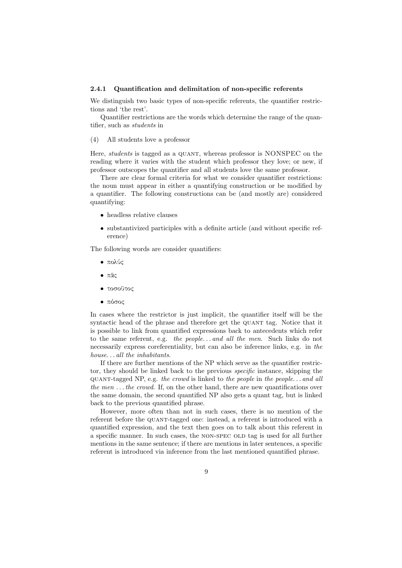#### 2.4.1 Quantification and delimitation of non-specific referents

We distinguish two basic types of non-specific referents, the quantifier restrictions and 'the rest'.

Quantifier restrictions are the words which determine the range of the quantifier, such as students in

(4) All students love a professor

Here, *students* is tagged as a QUANT, whereas professor is NONSPEC on the reading where it varies with the student which professor they love; or new, if professor outscopes the quantifier and all students love the same professor.

There are clear formal criteria for what we consider quantifier restrictions: the noun must appear in either a quantifying construction or be modified by a quantifier. The following constructions can be (and mostly are) considered quantifying:

- headless relative clauses
- substantivized participles with a definite article (and without specific reference)

The following words are consider quantifiers:

- πολύς
- πᾶς
- τοσοῦτος
- πόσος

In cases where the restrictor is just implicit, the quantifier itself will be the syntactic head of the phrase and therefore get the QUANT tag. Notice that it is possible to link from quantified expressions back to antecedents which refer to the same referent, e.g. the people. . . and all the men. Such links do not necessarily express coreferentiality, but can also be inference links, e.g. in the house...all the inhabitants.

If there are further mentions of the NP which serve as the quantifier restrictor, they should be linked back to the previous specific instance, skipping the quant-tagged NP, e.g. the crowd is linked to the people in the people. . . and all the men  $\dots$  the crowd. If, on the other hand, there are new quantifications over the same domain, the second quantified NP also gets a quant tag, but is linked back to the previous quantified phrase.

However, more often than not in such cases, there is no mention of the referent before the quant-tagged one: instead, a referent is introduced with a quantified expression, and the text then goes on to talk about this referent in a specific manner. In such cases, the NON-SPEC OLD tag is used for all further mentions in the same sentence; if there are mentions in later sentences, a specific referent is introduced via inference from the last mentioned quantified phrase.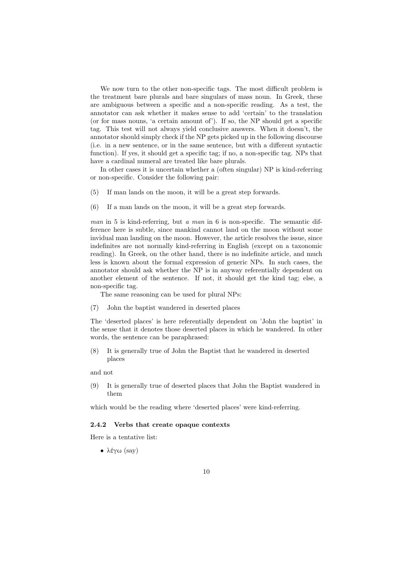We now turn to the other non-specific tags. The most difficult problem is the treatment bare plurals and bare singulars of mass noun. In Greek, these are ambiguous between a specific and a non-specific reading. As a test, the annotator can ask whether it makes sense to add 'certain' to the translation (or for mass nouns, 'a certain amount of'). If so, the NP should get a specific tag. This test will not always yield conclusive answers. When it doesn't, the annotator should simply check if the NP gets picked up in the following discourse (i.e. in a new sentence, or in the same sentence, but with a different syntactic function). If yes, it should get a specific tag; if no, a non-specific tag. NPs that have a cardinal numeral are treated like bare plurals.

In other cases it is uncertain whether a (often singular) NP is kind-referring or non-specific. Consider the following pair:

- (5) If man lands on the moon, it will be a great step forwards.
- (6) If a man lands on the moon, it will be a great step forwards.

man in 5 is kind-referring, but a man in 6 is non-specific. The semantic difference here is subtle, since mankind cannot land on the moon without some invidual man landing on the moon. However, the article resolves the issue, since indefinites are not normally kind-referring in English (except on a taxonomic reading). In Greek, on the other hand, there is no indefinite article, and much less is known about the formal expression of generic NPs. In such cases, the annotator should ask whether the NP is in anyway referentially dependent on another element of the sentence. If not, it should get the kind tag; else, a non-specific tag.

The same reasoning can be used for plural NPs:

(7) John the baptist wandered in deserted places

The 'deserted places' is here referentially dependent on 'John the baptist' in the sense that it denotes those deserted places in which he wandered. In other words, the sentence can be paraphrased:

(8) It is generally true of John the Baptist that he wandered in deserted places

and not

(9) It is generally true of deserted places that John the Baptist wandered in them

which would be the reading where 'deserted places' were kind-referring.

#### 2.4.2 Verbs that create opaque contexts

Here is a tentative list:

• λέγω (say)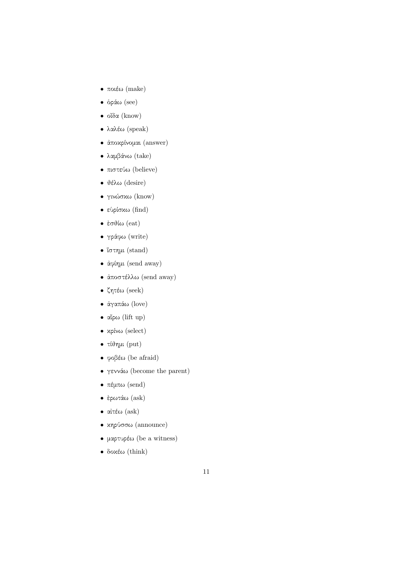- ποιέω (make)
- ὁράω (see)
- οἶδα (know)
- λαλέω (speak)
- ἀποκρίνομαι (answer)
- λαμβάνω (take)
- πιστεύω (believe)
- θέλω (desire)
- γινώσκω (know)
- εὑρίσκω (find)
- $\bullet$  έσθίω (eat)
- γράφω (write)
- ἵστημι (stand)
- ἀφίημι (send away)
- ἀποστέλλω (send away)
- ζητέω (seek)
- ἀγαπάω (love)
- αἴρω (lift up)
- κρίνω (select)
- τίθημι (put)
- φοβέω (be afraid)
- γεννάω (become the parent)
- πέμπω (send)
- ἐρωτάω (ask)
- αἰτέω (ask)
- κηρύσσω (announce)
- μαρτυρέω (be a witness)
- δοκέω (think)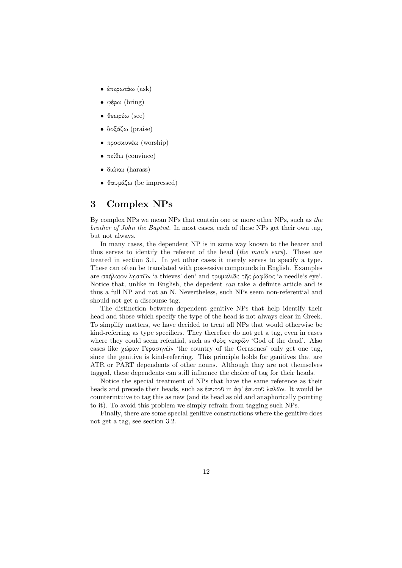- ἐπερωτάω (ask)
- φέρω (bring)
- θεωρέω (see)
- δοξάζω (praise)
- προσκυνέω (worship)
- $\bullet$  πείθω (convince)
- διώκω (harass)
- θαυμάζω (be impressed)

## 3 Complex NPs

By complex NPs we mean NPs that contain one or more other NPs, such as the brother of John the Baptist. In most cases, each of these NPs get their own tag, but not always.

In many cases, the dependent NP is in some way known to the hearer and thus serves to identify the referent of the head (the man's ears). These are treated in section 3.1. In yet other cases it merely serves to specify a type. These can often be translated with possessive compounds in English. Examples are σπήλαιον λῃστῶν 'a thieves' den' and τρυμαλιᾶς τῆς ῥαφίδος 'a needle's eye'. Notice that, unlike in English, the depedent can take a definite article and is thus a full NP and not an N. Nevertheless, such NPs seem non-referential and should not get a discourse tag.

The distinction between dependent genitive NPs that help identify their head and those which specify the type of the head is not always clear in Greek. To simplify matters, we have decided to treat all NPs that would otherwise be kind-referring as type specifiers. They therefore do not get a tag, even in cases where they could seem refential, such as θεὸς νεκρῶν 'God of the dead'. Also cases like χώραν Γερασηνῶν 'the country of the Gerasenes' only get one tag, since the genitive is kind-referring. This principle holds for genitives that are ATR or PART dependents of other nouns. Although they are not themselves tagged, these dependents can still influence the choice of tag for their heads.

Notice the special treatment of NPs that have the same reference as their heads and precede their heads, such as ἑαυτοῦ in ἀφ' ἑαυτοῦ λαλῶν. It would be counterintuive to tag this as new (and its head as old and anaphorically pointing to it). To avoid this problem we simply refrain from tagging such NPs.

Finally, there are some special genitive constructions where the genitive does not get a tag, see section 3.2.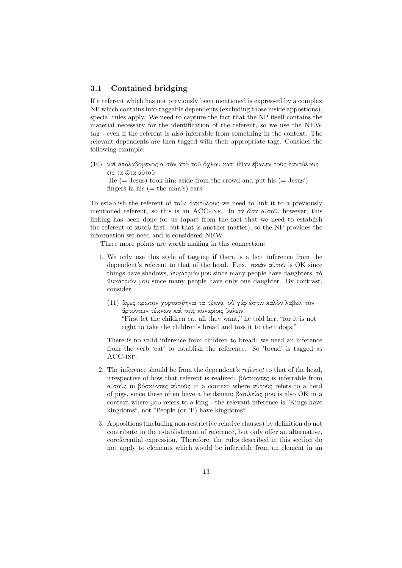## 3.1 Contained bridging

If a referent which has not previously been mentioned is expressed by a complex NP which contains info-taggable dependents (excluding those inside appostions), special rules apply. We need to capture the fact that the NP itself contains the material necessary for the identification of the referent, so we use the NEW tag - even if the referent is also inferrable from something in the context. The relevant dependents are then tagged with their appropriate tags. Consider the following example:

(10) καὶ ἀπολαβόμενος αὐτὸν ἀπὸ τοῦ ὄχλου κατ' ἰδίαν ἔβαλεν τοὺς δακτύλους εἰς τὰ ὦτα αὐτοῦ 'He  $(=$  Jesus) took him aside from the crowd and put his  $(=$  Jesus') fingers in his  $(=$  the man's) ears'

To establish the referent of τοὺς δακτύλους we need to link it to a previously mentioned referent, so this is an ACC-inf. In τὰ ὦτα αὐτοῦ, however, this linking has been done for us (apart from the fact that we need to establish the referent of αὐτοῦ first, but that is another matter), so the NP provides the information we need and is considered NEW.

Three more points are worth making in this connection:

- 1. We only use this style of tagging if there is a licit inference from the dependent's referent to that of the head. F.ex. σκιὰν αὐτοῦ is OK since things have shadows, θυγάτριόν μου since many people have daughters, τὸ θυγάτριόν μου since many people have only one daughter. By contrast, consider
	- (11) ἄφες πρῶτον χορτασθῆναι τὰ τέκνα· οὐ γάρ ἐστιν καλὸν λαβεῖν τὸν ἄρτοντῶν τέκνων καὶ τοῖς κυναρίοις βαλεῖν. "First let the children eat all they want," he told her, "for it is not right to take the children's bread and toss it to their dogs."

There is no valid inference from children to bread: we need an inference from the verb 'eat' to establish the reference. So 'bread' is tagged as ACC-INF.

- 2. The inference should be from the dependent's referent to that of the head, irrespective of how that referent is realized: βόσκοντες is inferrable from αὐτοὺς in βόσκοντες αὐτοὺς in a context where αὐτοὺς refers to a herd of pigs, since these often have a herdsman; βασιλείας μου is also OK in a context where μου refers to a king - the relevant inference is "Kings have kingdoms", not "People (or 'I') have kingdoms"
- 3. Appositions (including non-restrictive relative clauses) by definition do not contribute to the establishment of reference, but only offer an alternative, coreferential expression. Therefore, the rules described in this section do not apply to elements which would be inferrable from an element in an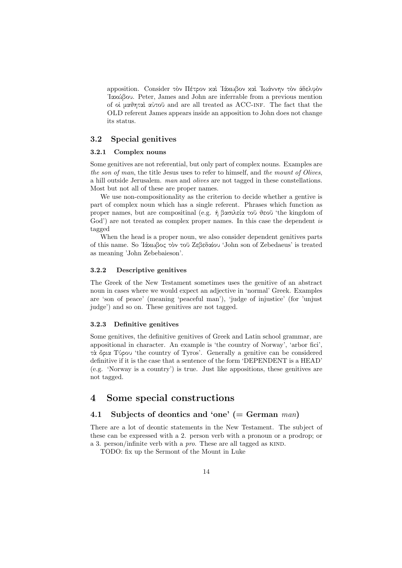apposition. Consider τὸν Πέτρον καὶ ᾿Ιάκωβον καὶ ᾿Ιωάννην τὸν ἀδελφὸν ᾿Ιακώβου. Peter, James and John are inferrable from a previous mention of οἱ μαθηταὶ αὐτοῦ and are all treated as ACC-inf. The fact that the OLD referent James appears inside an apposition to John does not change its status.

## 3.2 Special genitives

### 3.2.1 Complex nouns

Some genitives are not referential, but only part of complex nouns. Examples are the son of man, the title Jesus uses to refer to himself, and the mount of Olives, a hill outside Jerusalem. man and olives are not tagged in these constellations. Most but not all of these are proper names.

We use non-compositionality as the criterion to decide whether a gentive is part of complex noun which has a single referent. Phrases which function as proper names, but are compositinal (e.g. ἡ βασιλεία τοῦ θεοῦ 'the kingdom of God') are not treated as complex proper names. In this case the dependent is tagged

When the head is a proper noun, we also consider dependent genitives parts of this name. So ᾿Ιάκωβος τὸν τοῦ Ζεβεδαίου 'John son of Zebedaeus' is treated as meaning 'John Zebebaieson'.

### 3.2.2 Descriptive genitives

The Greek of the New Testament sometimes uses the genitive of an abstract noun in cases where we would expect an adjective in 'normal' Greek. Examples are 'son of peace' (meaning 'peaceful man'), 'judge of injustice' (for 'unjust judge') and so on. These genitives are not tagged.

### 3.2.3 Definitive genitives

Some genitives, the definitive genitives of Greek and Latin school grammar, are appositional in character. An example is 'the country of Norway', 'arbor fici', τὰ ὅρια Τύρου 'the country of Tyros'. Generally a genitive can be considered definitive if it is the case that a sentence of the form 'DEPENDENT is a HEAD' (e.g. 'Norway is a country') is true. Just like appositions, these genitives are not tagged.

## 4 Some special constructions

## 4.1 Subjects of deontics and 'one' (= German  $man$ )

There are a lot of deontic statements in the New Testament. The subject of these can be expressed with a 2. person verb with a pronoun or a prodrop; or a 3. person/infinite verb with a  $pro.$  These are all tagged as KIND.

TODO: fix up the Sermont of the Mount in Luke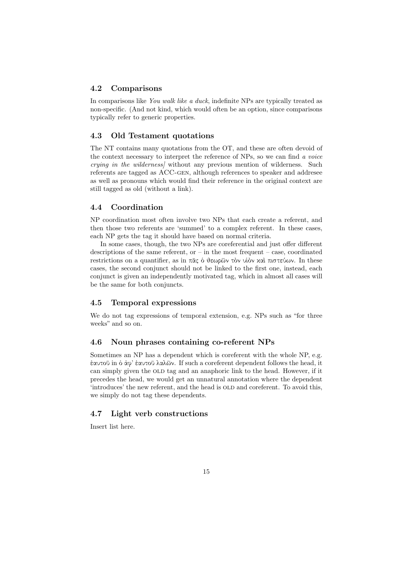## 4.2 Comparisons

In comparisons like You walk like a duck, indefinite NPs are typically treated as non-specific. (And not kind, which would often be an option, since comparisons typically refer to generic properties.

## 4.3 Old Testament quotations

The NT contains many quotations from the OT, and these are often devoid of the context necessary to interpret the reference of NPs, so we can find a voice crying in the wilderness] without any previous mention of wilderness. Such referents are tagged as ACC-gen, although references to speaker and addresee as well as pronouns which would find their reference in the original context are still tagged as old (without a link).

## 4.4 Coordination

NP coordination most often involve two NPs that each create a referent, and then those two referents are 'summed' to a complex referent. In these cases, each NP gets the tag it should have based on normal criteria.

In some cases, though, the two NPs are coreferential and just offer different descriptions of the same referent, or  $-$  in the most frequent  $-$  case, coordinated restrictions on a quantifier, as in πᾶς ὁ θεωρῶν τὸν υἱὸν καὶ πιστεύων. In these cases, the second conjunct should not be linked to the first one, instead, each conjunct is given an independently motivated tag, which in almost all cases will be the same for both conjuncts.

### 4.5 Temporal expressions

We do not tag expressions of temporal extension, e.g. NPs such as "for three weeks" and so on.

## 4.6 Noun phrases containing co-referent NPs

Sometimes an NP has a dependent which is coreferent with the whole NP, e.g. ἑαυτοῦ in ὁ ἀφ' ἑαυτοῦ λαλῶν. If such a coreferent dependent follows the head, it can simply given the OLD tag and an anaphoric link to the head. However, if it precedes the head, we would get an unnatural annotation where the dependent 'introduces' the new referent, and the head is OLD and coreferent. To avoid this, we simply do not tag these dependents.

## 4.7 Light verb constructions

Insert list here.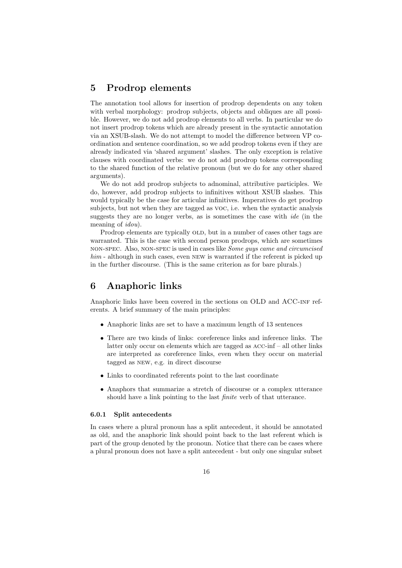## 5 Prodrop elements

The annotation tool allows for insertion of prodrop dependents on any token with verbal morphology: prodrop subjects, objects and obliques are all possible. However, we do not add prodrop elements to all verbs. In particular we do not insert prodrop tokens which are already present in the syntactic annotation via an XSUB-slash. We do not attempt to model the difference between VP coordination and sentence coordination, so we add prodrop tokens even if they are already indicated via 'shared argument' slashes. The only exception is relative clauses with coordinated verbs: we do not add prodrop tokens corresponding to the shared function of the relative pronoun (but we do for any other shared arguments).

We do not add prodrop subjects to adnominal, attributive participles. We do, however, add prodrop subjects to infinitives without XSUB slashes. This would typically be the case for articular infinitives. Imperatives do get prodrop subjects, but not when they are tagged as voc, i.e. when the syntactic analysis suggests they are no longer verbs, as is sometimes the case with ide (in the meaning of *idou*).

Prodrop elements are typically OLD, but in a number of cases other tags are warranted. This is the case with second person prodrops, which are sometimes non-spec. Also, non-spec is used in cases like Some guys came and circumcised him - although in such cases, even NEW is warranted if the referent is picked up in the further discourse. (This is the same criterion as for bare plurals.)

## 6 Anaphoric links

Anaphoric links have been covered in the sections on OLD and ACC-inf referents. A brief summary of the main principles:

- Anaphoric links are set to have a maximum length of 13 sentences
- There are two kinds of links: coreference links and inference links. The latter only occur on elements which are tagged as acc-inf – all other links are interpreted as coreference links, even when they occur on material tagged as new, e.g. in direct discourse
- Links to coordinated referents point to the last coordinate
- Anaphors that summarize a stretch of discourse or a complex utterance should have a link pointing to the last finite verb of that utterance.

### 6.0.1 Split antecedents

In cases where a plural pronoun has a split antecedent, it should be annotated as old, and the anaphoric link should point back to the last referent which is part of the group denoted by the pronoun. Notice that there can be cases where a plural pronoun does not have a split antecedent - but only one singular subset